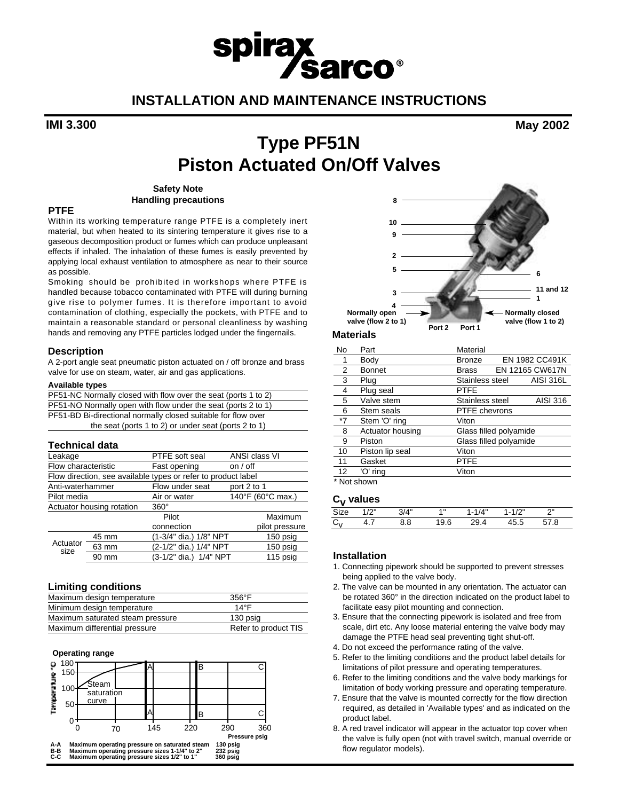# spirax<br>
Sarco® **INSTALLATION AND MAINTENANCE INSTRUCTIONS**

**IMI 3.300 May 2002**

## **Type PF51N Piston Actuated On/Off Valves**

#### **Safety Note Handling precautions**

#### **PTFE**

Within its working temperature range PTFE is a completely inert material, but when heated to its sintering temperature it gives rise to a gaseous decomposition product or fumes which can produce unpleasant effects if inhaled. The inhalation of these fumes is easily prevented by applying local exhaust ventilation to atmosphere as near to their source as possible.

Smoking should be prohibited in workshops where PTFE is handled because tobacco contaminated with PTFE will during burning give rise to polymer fumes. It is therefore important to avoid contamination of clothing, especially the pockets, with PTFE and to maintain a reasonable standard or personal cleanliness by washing hands and removing any PTFE particles lodged under the fingernails.

#### **Description**

A 2-port angle seat pneumatic piston actuated on / off bronze and brass valve for use on steam, water, air and gas applications.

#### **Available types**

| PF51-NC Normally closed with flow over the seat (ports 1 to 2) |
|----------------------------------------------------------------|
| PF51-NO Normally open with flow under the seat (ports 2 to 1)  |
| PF51-BD Bi-directional normally closed suitable for flow over  |
| the seat (ports 1 to 2) or under seat (ports 2 to 1)           |

#### **Technical data**

| Leakage                   |       | PTFE soft seal                                                | ANSI class VI     |
|---------------------------|-------|---------------------------------------------------------------|-------------------|
| Flow characteristic       |       | Fast opening                                                  | on / off          |
|                           |       | Flow direction, see available types or refer to product label |                   |
| Anti-waterhammer          |       | Flow under seat                                               | port 2 to 1       |
| Pilot media               |       | Air or water                                                  | 140°F (60°C max.) |
| Actuator housing rotation |       | $360^\circ$                                                   |                   |
|                           |       | Pilot                                                         | Maximum           |
|                           |       | connection                                                    | pilot pressure    |
| Actuator<br>size          | 45 mm | (1-3/4" dia.) 1/8" NPT                                        | 150 psig          |
|                           | 63 mm | (2-1/2" dia.) 1/4" NPT                                        | 150 psig          |
|                           | 90 mm | (3-1/2" dia.) 1/4" NPT                                        | 115 psig          |

#### **Limiting conditions**

| Maximum design temperature       | $356^{\circ}$ F      |
|----------------------------------|----------------------|
| Minimum design temperature       | $14^{\circ}$ F       |
| Maximum saturated steam pressure | 130 psig             |
| Maximum differential pressure    | Refer to product TIS |

#### **Operating range**





| No                | Part             | Material               |  |                  |
|-------------------|------------------|------------------------|--|------------------|
|                   | Body             | <b>Bronze</b>          |  | EN 1982 CC491K   |
| 2                 | <b>Bonnet</b>    | <b>Brass</b>           |  | EN 12165 CW617N  |
| 3                 | Plug             | Stainless steel        |  | <b>AISI 316L</b> |
| 4                 | Plug seal        | <b>PTFE</b>            |  |                  |
| 5                 | Valve stem       | Stainless steel        |  | AISI 316         |
| 6                 | Stem seals       | <b>PTFE</b> chevrons   |  |                  |
| $*7$              | Stem 'O' ring    | Viton                  |  |                  |
| 8                 | Actuator housing | Glass filled polyamide |  |                  |
| 9                 | Piston           | Glass filled polyamide |  |                  |
| 10                | Piston lip seal  | Viton                  |  |                  |
| 11                | Gasket           | <b>PTFE</b>            |  |                  |
| $12 \overline{ }$ | 'O' ring         | Viton                  |  |                  |
|                   | * Not shown      |                        |  |                  |

### $\mathsf{C}_{\mathsf{V}}$  values

|   | 1/2" | $3/\Lambda$ " | $\ddotmark$ | 14"<br>. . 1 | 101<br>- 1 | יי |  |
|---|------|---------------|-------------|--------------|------------|----|--|
| ֊ | T. 1 | 8.8           | ວ.ບ         | 'ч           | 70.J       | Ω  |  |
|   |      |               |             |              |            |    |  |

#### **Installation**

- 1. Connecting pipework should be supported to prevent stresses being applied to the valve body.
- 2. The valve can be mounted in any orientation. The actuator can be rotated 360° in the direction indicated on the product label to facilitate easy pilot mounting and connection.
- 3. Ensure that the connecting pipework is isolated and free from scale, dirt etc. Any loose material entering the valve body may damage the PTFE head seal preventing tight shut-off.
- 4. Do not exceed the performance rating of the valve.
- 5. Refer to the limiting conditions and the product label details for limitations of pilot pressure and operating temperatures.
- 6. Refer to the limiting conditions and the valve body markings for limitation of body working pressure and operating temperature.
- 7. Ensure that the valve is mounted correctly for the flow direction required, as detailed in 'Available types' and as indicated on the product label.
- 8. A red travel indicator will appear in the actuator top cover when the valve is fully open (not with travel switch, manual override or flow regulator models).